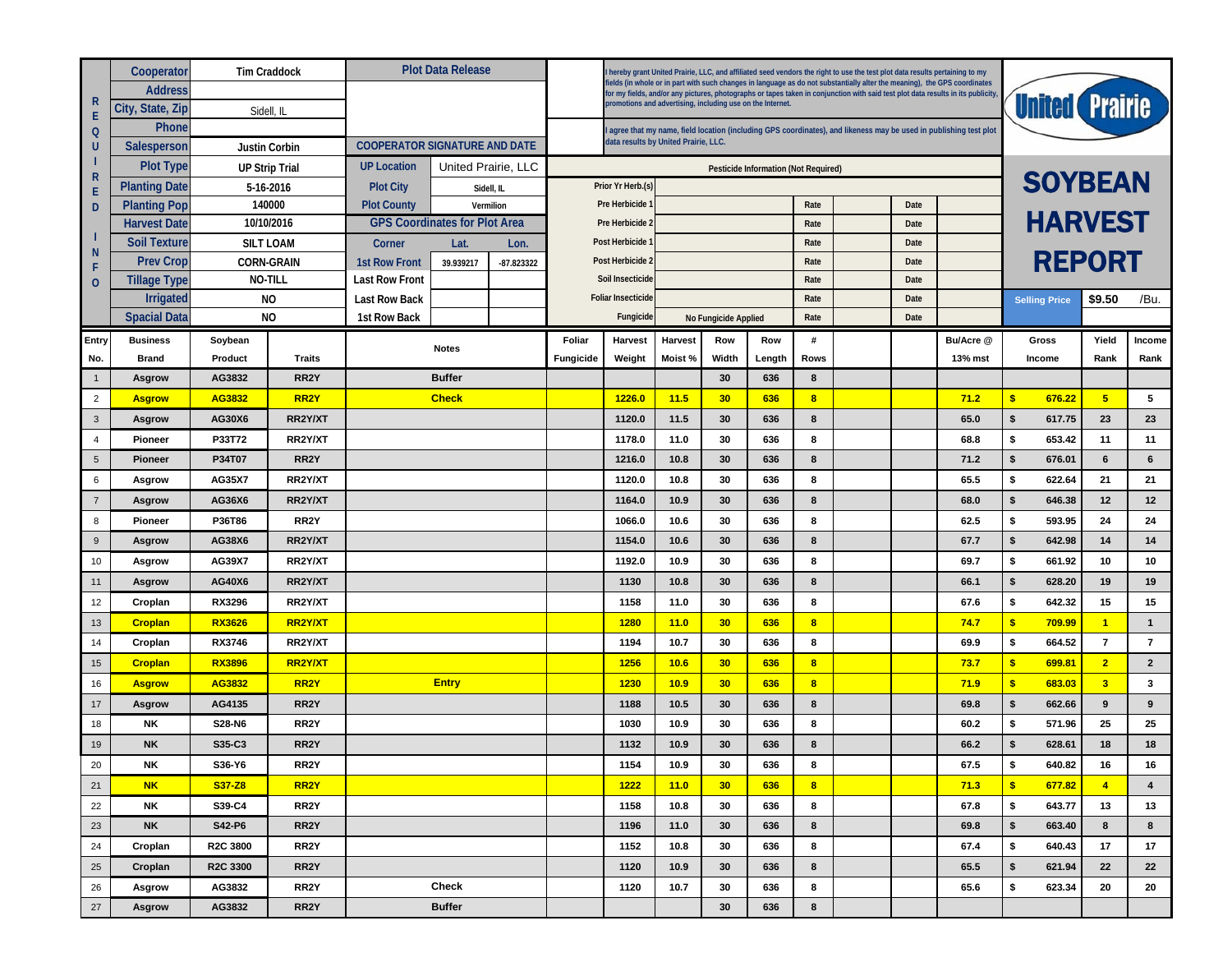|                 | Cooperator<br><b>Address</b>               | <b>Tim Craddock</b>                 |                       | <b>Plot Data Release</b>                                                                 |                                                   |                                                                                                                                                                                               | hereby grant United Prairie, LLC, and affiliated seed vendors the right to use the test plot data results pertaining to my<br>ields (in whole or in part with such changes in language as do not substantially alter the meaning), the GPS coordinates |                                    |                                      |       |        |                         |      |              |                       |                      |                |                      |                |
|-----------------|--------------------------------------------|-------------------------------------|-----------------------|------------------------------------------------------------------------------------------|---------------------------------------------------|-----------------------------------------------------------------------------------------------------------------------------------------------------------------------------------------------|--------------------------------------------------------------------------------------------------------------------------------------------------------------------------------------------------------------------------------------------------------|------------------------------------|--------------------------------------|-------|--------|-------------------------|------|--------------|-----------------------|----------------------|----------------|----------------------|----------------|
| R<br>E          | City, State, Zip<br>Sidell, IL             |                                     |                       |                                                                                          |                                                   | for my fields, and/or any pictures, photographs or tapes taken in conjunction with said test plot data results in its publicity<br>promotions and advertising, including use on the Internet. |                                                                                                                                                                                                                                                        |                                    |                                      |       |        |                         |      |              | <b>United Prairie</b> |                      |                |                      |                |
| $\Omega$        | <b>Phone</b><br>Justin Corbin              |                                     |                       |                                                                                          |                                                   |                                                                                                                                                                                               | agree that my name, field location (including GPS coordinates), and likeness may be used in publishing test plot<br>data results by United Prairie, LLC.                                                                                               |                                    |                                      |       |        |                         |      |              |                       |                      |                |                      |                |
| U               | Salesperson                                |                                     |                       | <b>COOPERATOR SIGNATURE AND DATE</b><br><b>United Prairie, LLC</b><br><b>UP Location</b> |                                                   |                                                                                                                                                                                               |                                                                                                                                                                                                                                                        |                                    |                                      |       |        |                         |      |              |                       |                      |                |                      |                |
| $\mathsf R$     | <b>Plot Type</b>                           |                                     | <b>UP Strip Trial</b> |                                                                                          |                                                   |                                                                                                                                                                                               |                                                                                                                                                                                                                                                        |                                    | Pesticide Information (Not Required) |       |        |                         |      |              |                       |                      | <b>SOYBEAN</b> |                      |                |
| E               | <b>Planting Date</b>                       |                                     | 5-16-2016             | <b>Plot City</b>                                                                         |                                                   | Sidell, IL                                                                                                                                                                                    |                                                                                                                                                                                                                                                        | Prior Yr Herb.(s)<br>Pre Herbicide |                                      |       |        |                         |      |              |                       |                      |                |                      |                |
| D               | <b>Planting Pop</b><br><b>Harvest Date</b> | 140000<br>10/10/2016                |                       | <b>Plot County</b>                                                                       | Vermilion<br><b>GPS Coordinates for Plot Area</b> |                                                                                                                                                                                               |                                                                                                                                                                                                                                                        | Pre Herbicide 2                    |                                      |       |        | Rate<br>Rate            |      | Date<br>Date |                       |                      | <b>HARVEST</b> |                      |                |
|                 | <b>Soil Texture</b>                        |                                     |                       |                                                                                          |                                                   |                                                                                                                                                                                               |                                                                                                                                                                                                                                                        | Post Herbicide                     |                                      |       |        | Rate                    |      | Date         |                       |                      |                |                      |                |
| N               | <b>Prev Crop</b>                           |                                     | <b>SILT LOAM</b>      | Corner<br><b>1st Row Front</b>                                                           | Lat.<br>39.939217                                 | Lon.<br>$-87.823322$                                                                                                                                                                          |                                                                                                                                                                                                                                                        | Post Herbicide 2                   |                                      |       |        |                         | Rate |              |                       | <b>REPORT</b>        |                |                      |                |
| $\mathbf 0$     | <b>Tillage Type</b>                        | <b>CORN-GRAIN</b><br><b>NO-TILL</b> |                       | <b>Last Row Front</b>                                                                    |                                                   |                                                                                                                                                                                               | Soil Insecticide                                                                                                                                                                                                                                       |                                    |                                      |       |        | Rate                    |      | Date<br>Date |                       |                      |                |                      |                |
|                 |                                            | Irrigated<br><b>NO</b>              |                       | <b>Last Row Back</b>                                                                     |                                                   |                                                                                                                                                                                               | <b>Foliar Insecticide</b>                                                                                                                                                                                                                              |                                    |                                      |       | Rate   |                         | Date |              |                       | <b>Selling Price</b> | \$9.50         | /Bu.                 |                |
|                 | <b>Spacial Data</b>                        | <b>NO</b>                           |                       | 1st Row Back                                                                             |                                                   |                                                                                                                                                                                               |                                                                                                                                                                                                                                                        | Fungicide                          | No Fungicide Applied                 |       |        | Rate                    |      | Date         |                       |                      |                |                      |                |
| Entry           | <b>Business</b>                            | Soybean                             |                       |                                                                                          |                                                   | Foliar                                                                                                                                                                                        | <b>Harvest</b>                                                                                                                                                                                                                                         | Harvest                            | Row                                  | Row   | #      |                         |      | Bu/Acre @    |                       | Gross                | Yield          | Income               |                |
| No.             | <b>Brand</b>                               | Product                             | <b>Traits</b>         | <b>Notes</b>                                                                             |                                                   |                                                                                                                                                                                               | <b>Fungicide</b>                                                                                                                                                                                                                                       | Weight                             | Moist %                              | Width | Length | <b>Rows</b>             |      |              | 13% mst               |                      | Income         | Rank                 | Rank           |
| $\mathbf{1}$    | Asgrow                                     | AG3832                              | RR <sub>2</sub> Y     | <b>Buffer</b>                                                                            |                                                   |                                                                                                                                                                                               |                                                                                                                                                                                                                                                        |                                    |                                      | 30    | 636    | 8                       |      |              |                       |                      |                |                      |                |
| $\overline{2}$  | <b>Asgrow</b>                              | AG3832                              | RR <sub>2</sub> Y     | <b>Check</b>                                                                             |                                                   |                                                                                                                                                                                               |                                                                                                                                                                                                                                                        | 1226.0                             | 11.5                                 | 30    | 636    | $\overline{\mathbf{8}}$ |      |              | 71.2                  | $\frac{1}{2}$        | 676.22         | 5 <sub>5</sub>       | 5              |
| $\mathbf{3}$    | Asgrow                                     | AG30X6                              | RR2Y/XT               |                                                                                          |                                                   |                                                                                                                                                                                               |                                                                                                                                                                                                                                                        | 1120.0                             | 11.5                                 | 30    | 636    | 8                       |      |              | 65.0                  | \$                   | 617.75         | 23                   | 23             |
| $\overline{4}$  | Pioneer                                    | P33T72                              | RR2Y/XT               |                                                                                          |                                                   |                                                                                                                                                                                               |                                                                                                                                                                                                                                                        | 1178.0                             | 11.0                                 | 30    | 636    | 8                       |      |              | 68.8                  | \$                   | 653.42         | 11                   | 11             |
| $5\phantom{.0}$ | <b>Pioneer</b>                             | P34T07                              | RR <sub>2</sub> Y     |                                                                                          |                                                   |                                                                                                                                                                                               |                                                                                                                                                                                                                                                        | 1216.0                             | 10.8                                 | 30    | 636    | 8                       |      |              | 71.2                  | \$                   | 676.01         | 6                    | 6              |
| 6               | Asgrow                                     | AG35X7                              | RR2Y/XT               |                                                                                          |                                                   |                                                                                                                                                                                               |                                                                                                                                                                                                                                                        | 1120.0                             | 10.8                                 | 30    | 636    | 8                       |      |              | 65.5                  | \$                   | 622.64         | 21                   | 21             |
| $\overline{7}$  | Asgrow                                     | AG36X6                              | RR2Y/XT               |                                                                                          |                                                   |                                                                                                                                                                                               |                                                                                                                                                                                                                                                        | 1164.0                             | 10.9                                 | 30    | 636    | 8                       |      |              | 68.0                  | \$                   | 646.38         | 12                   | 12             |
| 8               | Pioneer                                    | P36T86                              | RR <sub>2</sub> Y     |                                                                                          |                                                   |                                                                                                                                                                                               |                                                                                                                                                                                                                                                        | 1066.0                             | 10.6                                 | 30    | 636    | 8                       |      |              | 62.5                  | \$                   | 593.95         | 24                   | 24             |
| 9               | Asgrow                                     | AG38X6                              | RR2Y/XT               |                                                                                          |                                                   |                                                                                                                                                                                               |                                                                                                                                                                                                                                                        | 1154.0                             | 10.6                                 | 30    | 636    | 8                       |      |              | 67.7                  | \$                   | 642.98         | 14                   | 14             |
| 10              | Asgrow                                     | AG39X7                              | RR2Y/XT               |                                                                                          |                                                   |                                                                                                                                                                                               |                                                                                                                                                                                                                                                        | 1192.0                             | 10.9                                 | 30    | 636    | 8                       |      |              | 69.7                  | \$                   | 661.92         | 10                   | 10             |
| 11              | Asgrow                                     | <b>AG40X6</b>                       | RR2Y/XT               |                                                                                          |                                                   |                                                                                                                                                                                               |                                                                                                                                                                                                                                                        | 1130                               | 10.8                                 | 30    | 636    | 8                       |      |              | 66.1                  | \$                   | 628.20         | 19                   | 19             |
| 12              | Croplan                                    | RX3296                              | RR2Y/XT               |                                                                                          |                                                   |                                                                                                                                                                                               |                                                                                                                                                                                                                                                        | 1158                               | 11.0                                 | 30    | 636    | 8                       |      |              | 67.6                  | \$                   | 642.32         | 15                   | 15             |
| 13              | <b>Croplan</b>                             | <b>RX3626</b>                       | RR2Y/XT               |                                                                                          |                                                   |                                                                                                                                                                                               |                                                                                                                                                                                                                                                        | 1280                               | 11.0                                 | 30    | 636    | 8                       |      |              | 74.7                  | $\frac{1}{2}$        | 709.99         | $\blacktriangleleft$ | $\mathbf{1}$   |
| 14              | Croplan                                    | <b>RX3746</b>                       | RR2Y/XT               |                                                                                          |                                                   |                                                                                                                                                                                               |                                                                                                                                                                                                                                                        | 1194                               | 10.7                                 | 30    | 636    | 8                       |      |              | 69.9                  | \$                   | 664.52         | $\overline{7}$       | $\overline{7}$ |
| 15              | <b>Croplan</b>                             | <b>RX3896</b>                       | RR2Y/XT               |                                                                                          |                                                   |                                                                                                                                                                                               |                                                                                                                                                                                                                                                        | 1256                               | 10.6                                 | 30    | 636    | 8                       |      |              | 73.7                  | $\frac{1}{2}$        | 699.81         | 2 <sub>2</sub>       | $\overline{2}$ |
| 16              | <b>Asgrow</b>                              | AG3832                              | RR <sub>2</sub> Y     |                                                                                          | <b>Entry</b>                                      |                                                                                                                                                                                               |                                                                                                                                                                                                                                                        | 1230                               | 10.9                                 | 30    | 636    | 8                       |      |              | 71.9                  | $\frac{1}{2}$        | 683.03         | 3 <sup>2</sup>       | 3              |
| 17              | <b>Asgrow</b>                              | AG4135                              | RR <sub>2</sub> Y     |                                                                                          |                                                   |                                                                                                                                                                                               |                                                                                                                                                                                                                                                        | 1188                               | 10.5                                 | 30    | 636    | 8                       |      |              | 69.8                  | \$                   | 662.66         | 9                    | 9              |
| 18              | NΚ                                         | S28-N6                              | RR <sub>2</sub> Y     |                                                                                          |                                                   |                                                                                                                                                                                               |                                                                                                                                                                                                                                                        | 1030                               | 10.9                                 | 30    | 636    | 8                       |      |              | 60.2                  | \$                   | 571.96         | 25                   | 25             |
| 19              | <b>NK</b>                                  | S35-C3                              | RR <sub>2</sub> Y     |                                                                                          |                                                   |                                                                                                                                                                                               |                                                                                                                                                                                                                                                        | 1132                               | 10.9                                 | 30    | 636    | 8                       |      |              | 66.2                  | \$                   | 628.61         | 18                   | 18             |
| 20              | ΝK                                         | S36-Y6                              | RR <sub>2</sub> Y     |                                                                                          |                                                   |                                                                                                                                                                                               |                                                                                                                                                                                                                                                        | 1154                               | 10.9                                 | 30    | 636    | 8                       |      |              | 67.5                  | \$                   | 640.82         | 16                   | 16             |
| 21              | <b>NK</b>                                  | <b>S37-Z8</b>                       | RR <sub>2</sub> Y     |                                                                                          |                                                   |                                                                                                                                                                                               |                                                                                                                                                                                                                                                        | 1222                               | 11.0                                 | 30    | 636    | 8                       |      |              | 71.3                  | $\frac{1}{2}$        | 677.82         | $\overline{4}$       | 4              |
| 22              | NΚ                                         | S39-C4                              | RR2Y                  |                                                                                          |                                                   |                                                                                                                                                                                               |                                                                                                                                                                                                                                                        | 1158                               | 10.8                                 | 30    | 636    | 8                       |      |              | 67.8                  | \$                   | 643.77         | 13                   | 13             |
| 23              | <b>NK</b>                                  | S42-P6                              | RR <sub>2</sub> Y     |                                                                                          |                                                   |                                                                                                                                                                                               |                                                                                                                                                                                                                                                        | 1196                               | 11.0                                 | 30    | 636    | 8                       |      |              | 69.8                  | \$                   | 663.40         | 8                    | 8              |
| 24              | Croplan                                    | R <sub>2</sub> C 3800               | RR2Y                  |                                                                                          |                                                   |                                                                                                                                                                                               |                                                                                                                                                                                                                                                        | 1152                               | 10.8                                 | 30    | 636    | 8                       |      |              | 67.4                  | \$                   | 640.43         | 17                   | 17             |
| 25              | Croplan                                    | R <sub>2</sub> C 3300               | RR <sub>2</sub> Y     |                                                                                          |                                                   |                                                                                                                                                                                               |                                                                                                                                                                                                                                                        | 1120                               | 10.9                                 | 30    | 636    | 8                       |      |              | 65.5                  | \$                   | 621.94         | $22 \overline{ }$    | 22             |
| 26              | Asgrow                                     | AG3832                              | RR <sub>2</sub> Y     |                                                                                          | Check                                             |                                                                                                                                                                                               |                                                                                                                                                                                                                                                        | 1120                               | 10.7                                 | 30    | 636    | 8                       |      |              | 65.6                  | \$                   | 623.34         | 20                   | 20             |
| 27              | Asgrow                                     | AG3832                              | RR <sub>2</sub> Y     |                                                                                          | <b>Buffer</b>                                     |                                                                                                                                                                                               |                                                                                                                                                                                                                                                        |                                    |                                      | 30    | 636    | 8                       |      |              |                       |                      |                |                      |                |